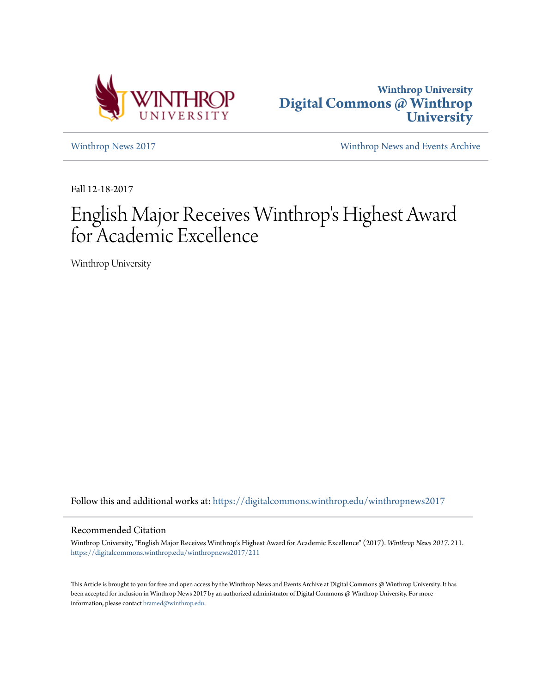



[Winthrop News 2017](https://digitalcommons.winthrop.edu/winthropnews2017?utm_source=digitalcommons.winthrop.edu%2Fwinthropnews2017%2F211&utm_medium=PDF&utm_campaign=PDFCoverPages) [Winthrop News and Events Archive](https://digitalcommons.winthrop.edu/winthropnewsarchives?utm_source=digitalcommons.winthrop.edu%2Fwinthropnews2017%2F211&utm_medium=PDF&utm_campaign=PDFCoverPages)

Fall 12-18-2017

## English Major Receives Winthrop 's Highest Award for Academic Excellence

Winthrop University

Follow this and additional works at: [https://digitalcommons.winthrop.edu/winthropnews2017](https://digitalcommons.winthrop.edu/winthropnews2017?utm_source=digitalcommons.winthrop.edu%2Fwinthropnews2017%2F211&utm_medium=PDF&utm_campaign=PDFCoverPages)

#### Recommended Citation

Winthrop University, "English Major Receives Winthrop's Highest Award for Academic Excellence" (2017). *Winthrop News 2017*. 211. [https://digitalcommons.winthrop.edu/winthropnews2017/211](https://digitalcommons.winthrop.edu/winthropnews2017/211?utm_source=digitalcommons.winthrop.edu%2Fwinthropnews2017%2F211&utm_medium=PDF&utm_campaign=PDFCoverPages)

This Article is brought to you for free and open access by the Winthrop News and Events Archive at Digital Commons @ Winthrop University. It has been accepted for inclusion in Winthrop News 2017 by an authorized administrator of Digital Commons @ Winthrop University. For more information, please contact [bramed@winthrop.edu](mailto:bramed@winthrop.edu).